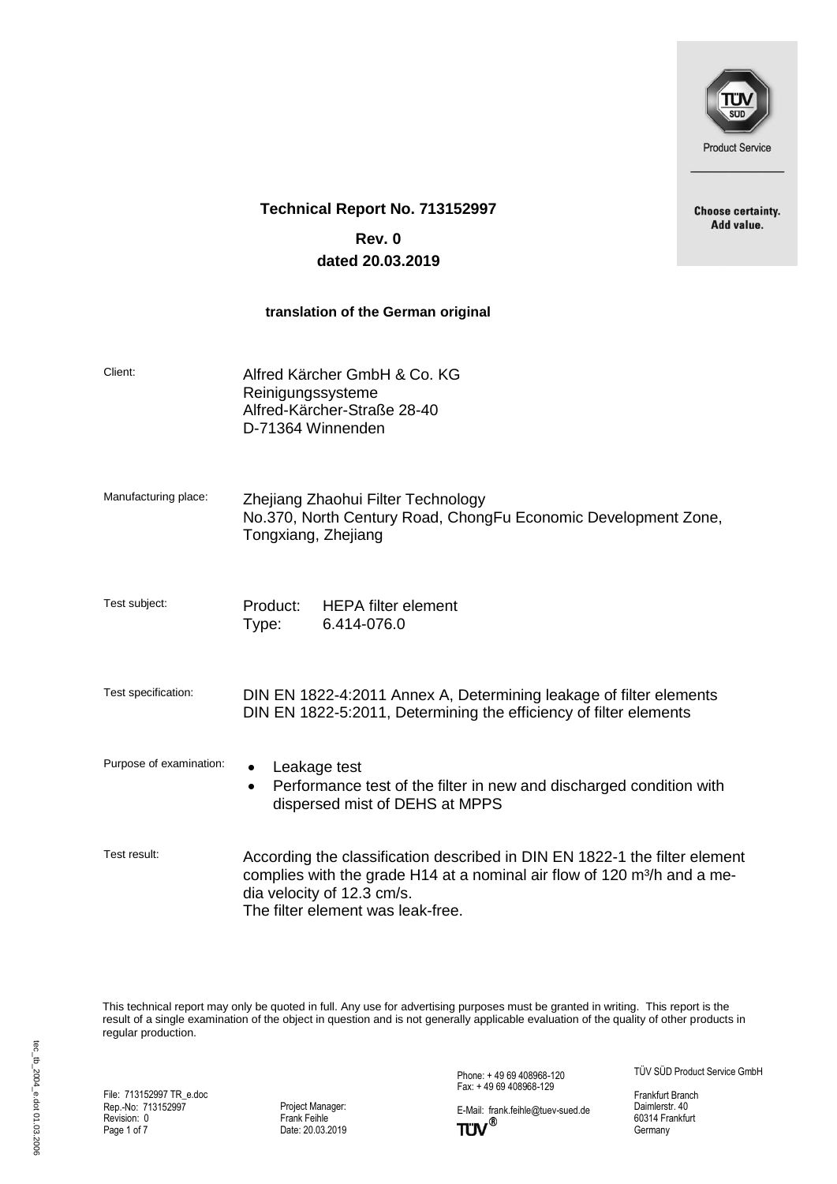

**Choose certainty.** Add value.

## **Technical Report No. 713152997**

# **Rev. 0 dated 20.03.2019**

#### **translation of the German original**

| Client:                 | Alfred Kärcher GmbH & Co. KG<br>Reinigungssysteme<br>Alfred-Kärcher-Straße 28-40<br>D-71364 Winnenden                                                                                                                                 |
|-------------------------|---------------------------------------------------------------------------------------------------------------------------------------------------------------------------------------------------------------------------------------|
| Manufacturing place:    | Zhejiang Zhaohui Filter Technology<br>No.370, North Century Road, ChongFu Economic Development Zone,<br>Tongxiang, Zhejiang                                                                                                           |
| Test subject:           | Product: HEPA filter element<br>6.414-076.0<br>Type:                                                                                                                                                                                  |
| Test specification:     | DIN EN 1822-4:2011 Annex A, Determining leakage of filter elements<br>DIN EN 1822-5:2011, Determining the efficiency of filter elements                                                                                               |
| Purpose of examination: | Leakage test<br>Performance test of the filter in new and discharged condition with<br>$\bullet$<br>dispersed mist of DEHS at MPPS                                                                                                    |
| Test result:            | According the classification described in DIN EN 1822-1 the filter element<br>complies with the grade H14 at a nominal air flow of 120 m <sup>3</sup> /h and a me-<br>dia velocity of 12.3 cm/s.<br>The filter element was leak-free. |

This technical report may only be quoted in full. Any use for advertising purposes must be granted in writing. This report is the result of a single examination of the object in question and is not generally applicable evaluation of the quality of other products in regular production.

File: 713152997 TR\_e.doc Rep.-No: 713152997 Revision: 0 Page 1 of 7

Project Manager: Frank Feihle Date: 20.03.2019 Phone: + 49 69 408968-120 Fax: + 49 69 408968-129

E-Mail: frank.feihle@tuev-sued.de<br>
TUV<sup>®</sup>

TÜV SÜD Product Service GmbH

Frankfurt Branch Daimlerstr. 40 60314 Frankfurt Germany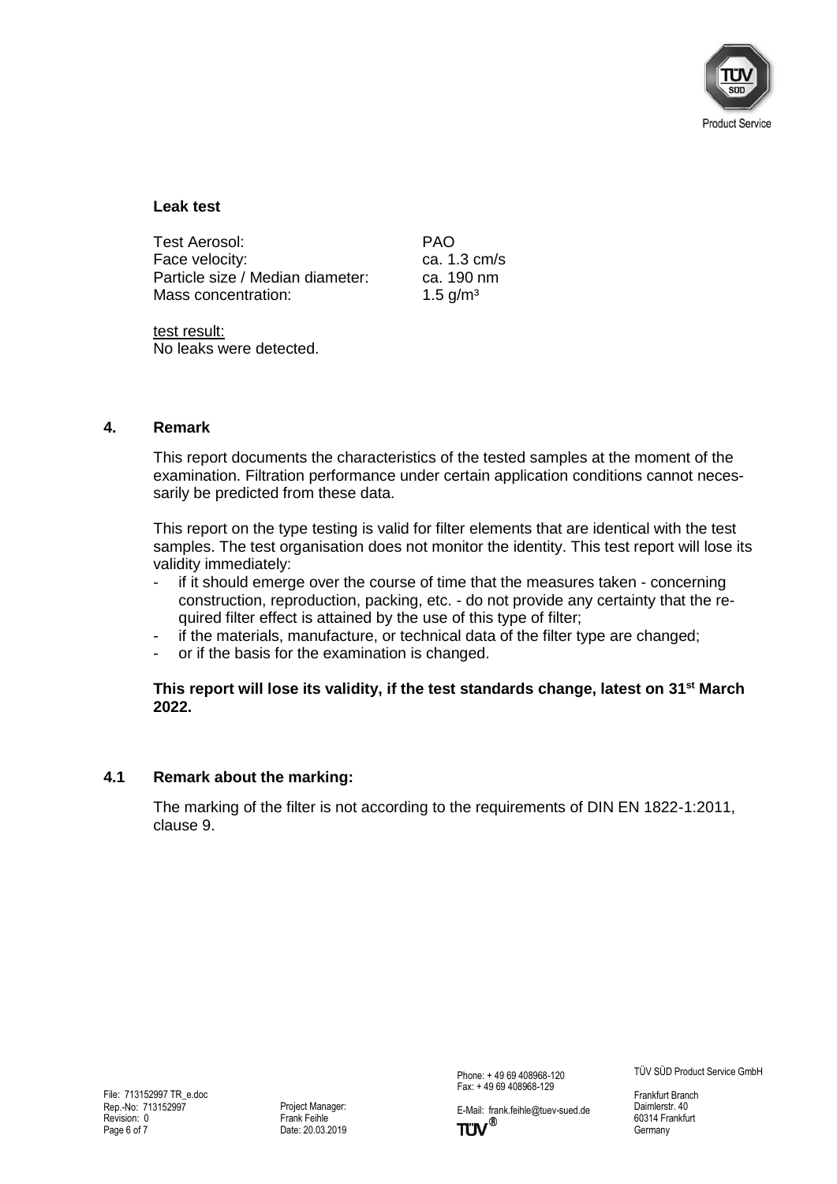

#### **Leak test**

| Test Aerosol:                    | <b>PAO</b>             |
|----------------------------------|------------------------|
| Face velocity:                   | ca. $1.3 \text{ cm/s}$ |
| Particle size / Median diameter: | ca. 190 nm             |
| Mass concentration:              | 1.5 $q/m^3$            |

test result: No leaks were detected.

#### **4. Remark**

This report documents the characteristics of the tested samples at the moment of the examination. Filtration performance under certain application conditions cannot necessarily be predicted from these data.

This report on the type testing is valid for filter elements that are identical with the test samples. The test organisation does not monitor the identity. This test report will lose its validity immediately:

- if it should emerge over the course of time that the measures taken concerning construction, reproduction, packing, etc. - do not provide any certainty that the required filter effect is attained by the use of this type of filter;
- if the materials, manufacture, or technical data of the filter type are changed;
- or if the basis for the examination is changed.

#### **This report will lose its validity, if the test standards change, latest on 31 st March 2022.**

#### **4.1 Remark about the marking:**

The marking of the filter is not according to the requirements of DIN EN 1822-1:2011, clause 9.

Phone: + 49 69 408968-120 Fax: + 49 69 408968-129

E-Mail: frank.feihle@tuev-sued.de<br>
TUV<sup>®</sup>

TÜV SÜD Product Service GmbH

Frankfurt Branch Daimlerstr. 40 60314 Frankfurt Germany